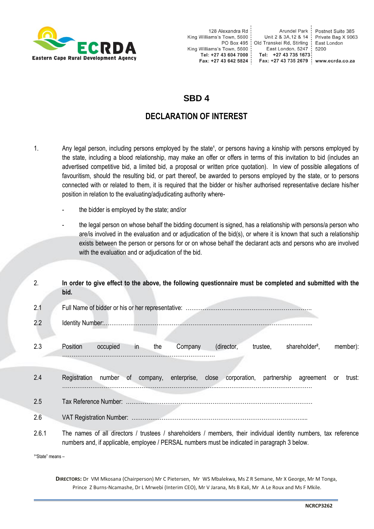

Arundel Park : Unit 2 & 3A, 12 & 14 | Old Transkei Rd, Stirling 5200 Tel: +27 43 735 1673 Fax: +27 43 735 2679 | www.ecrda.co.za

Postnet Suite 385<br>Private Bag X 9063 East London

## **SBD 4**

## **DECLARATION OF INTEREST**

- 1. Any legal person, including persons employed by the state<sup>1</sup>, or persons having a kinship with persons employed by the state, including a blood relationship, may make an offer or offers in terms of this invitation to bid (includes an advertised competitive bid, a limited bid, a proposal or written price quotation). In view of possible allegations of favouritism, should the resulting bid, or part thereof, be awarded to persons employed by the state, or to persons connected with or related to them, it is required that the bidder or his/her authorised representative declare his/her position in relation to the evaluating/adjudicating authority where
	- the bidder is employed by the state; and/or
	- the legal person on whose behalf the bidding document is signed, has a relationship with persons/a person who are/is involved in the evaluation and or adjudication of the bid(s), or where it is known that such a relationship exists between the person or persons for or on whose behalf the declarant acts and persons who are involved with the evaluation and or adjudication of the bid.

| 2.    | In order to give effect to the above, the following questionnaire must be completed and submitted with the<br>bid.                                                                                                |
|-------|-------------------------------------------------------------------------------------------------------------------------------------------------------------------------------------------------------------------|
| 2.1   |                                                                                                                                                                                                                   |
| 2.2   |                                                                                                                                                                                                                   |
| 2.3   | Position<br>(director,<br>trustee,<br>shareholder <sup>2</sup> ,<br>member):<br>occupied<br>in<br>Company<br>the                                                                                                  |
| 2.4   | company, enterprise, close corporation, partnership agreement or<br>Registration<br>number of<br>trust:                                                                                                           |
| 2.5   |                                                                                                                                                                                                                   |
| 2.6   |                                                                                                                                                                                                                   |
| 2.6.1 | The names of all directors / trustees / shareholders / members, their individual identity numbers, tax reference<br>numbers and, if applicable, employee / PERSAL numbers must be indicated in paragraph 3 below. |

<sup>1</sup>"State" means -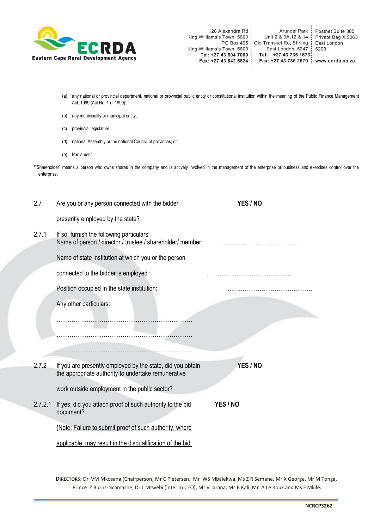

- (a) any national or provincial department, national or provincial public entity or constitutional institution within the meaning of the Public Finance Management Act, 1999 (Act No. 1 of 1999);
- (b) any municipality or municipal entity;
- (c) provincial legislature;
- (d) national Assembly or the national Council of provinces; or
- (e) Parliament.

²"Shareholder" means a person who owns shares in the company and is actively involved in the management of the enterprise or business and exercises control over the enterprise.

| 2.7     | Are you or any person connected with the bidder                                                                   | YES / NO |
|---------|-------------------------------------------------------------------------------------------------------------------|----------|
|         | presently employed by the state?                                                                                  |          |
| 2.7.1   | If so, furnish the following particulars:<br>Name of person / director / trustee / shareholder/ member:           |          |
|         | Name of state institution at which you or the person                                                              |          |
|         | connected to the bidder is employed :                                                                             |          |
|         | Position occupied in the state institution:                                                                       |          |
|         | Any other particulars:                                                                                            |          |
|         |                                                                                                                   |          |
|         |                                                                                                                   |          |
|         |                                                                                                                   |          |
| 2.7.2   | If you are presently employed by the state, did you obtain<br>the appropriate authority to undertake remunerative | YES / NO |
|         | work outside employment in the public sector?                                                                     |          |
| 2.7.2.1 | If yes, did you attach proof of such authority to the bid<br>document?                                            | YES / NO |
|         | (Note: Failure to submit proof of such authority, where                                                           |          |
|         | applicable, may result in the disqualification of the bid.                                                        |          |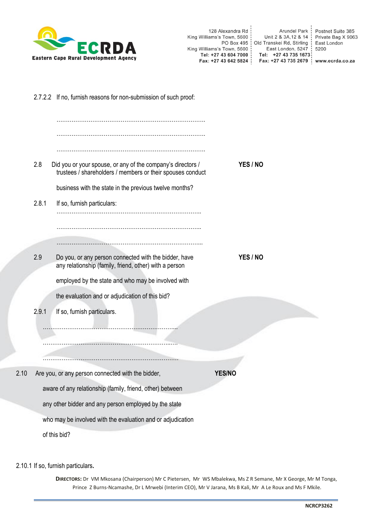

|      |       | 2.7.2.2 If no, furnish reasons for non-submission of such proof:                                                          |               |          |
|------|-------|---------------------------------------------------------------------------------------------------------------------------|---------------|----------|
|      |       |                                                                                                                           |               |          |
|      | 2.8   | Did you or your spouse, or any of the company's directors /<br>trustees / shareholders / members or their spouses conduct |               | YES / NO |
|      |       | business with the state in the previous twelve months?                                                                    |               |          |
|      | 2.8.1 | If so, furnish particulars:                                                                                               |               |          |
|      |       |                                                                                                                           |               |          |
|      | 2.9   | Do you, or any person connected with the bidder, have<br>any relationship (family, friend, other) with a person           |               | YES / NO |
|      |       | employed by the state and who may be involved with                                                                        |               |          |
|      |       | the evaluation and or adjudication of this bid?                                                                           |               |          |
|      | 2.9.1 | If so, furnish particulars.                                                                                               |               |          |
|      |       |                                                                                                                           |               |          |
|      |       |                                                                                                                           |               |          |
| 2.10 |       | Are you, or any person connected with the bidder,                                                                         | <b>YES/NC</b> |          |
|      |       | aware of any relationship (family, friend, other) between                                                                 |               |          |
|      |       | any other bidder and any person employed by the state                                                                     |               |          |
|      |       | who may be involved with the evaluation and or adjudication                                                               |               |          |
|      |       | of this bid?                                                                                                              |               |          |

2.10.1 If so, furnish particulars**.**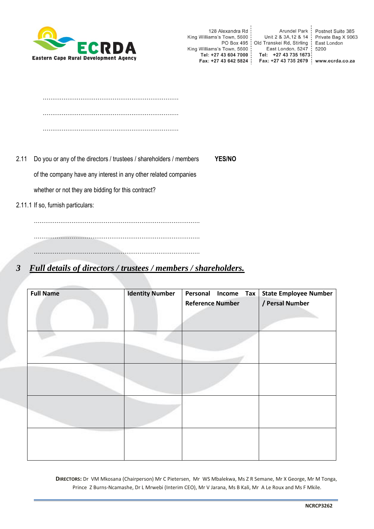

Arundel Park : 128 Alexandra Rd Postnet Suite 385<br>Private Bag X 9063 Unit 2 & 3A, 12 & 14 King Williams's Town, 5600 PO Box 495 | Old Transkei Rd, Stirling East London : Franskei Rd, Stirling<br>| East London, 5247<br>|- +27 43 735 1673 King Williams's Town, 5600 5200 Tel: +27 43 604 7000 : Tel: +27 43 735 1673 Fax: +27 43 642 5824 : Fax: +27 43 735 2679 | www.ecrda.co.za

- 2.11 Do you or any of the directors / trustees / shareholders / members **YES/NO** of the company have any interest in any other related companies whether or not they are bidding for this contract?
- 2.11.1 If so, furnish particulars:

……………………………………………………………………………. …………………………………………………………………………….

…………………………………………………………………………….

## *3 Full details of directors / trustees / members / shareholders.*

| <b>Full Name</b> | <b>Identity Number</b> | Personal Income<br><b>Tax</b> | <b>State Employee Number</b> |
|------------------|------------------------|-------------------------------|------------------------------|
|                  |                        |                               |                              |
|                  |                        | <b>Reference Number</b>       | / Persal Number              |
|                  |                        |                               |                              |
|                  |                        |                               |                              |
|                  |                        |                               |                              |
|                  |                        |                               |                              |
|                  |                        |                               |                              |
|                  |                        |                               |                              |
|                  |                        |                               |                              |
|                  |                        |                               |                              |
|                  |                        |                               |                              |
|                  |                        |                               |                              |
|                  |                        |                               |                              |
|                  |                        |                               |                              |
|                  |                        |                               |                              |
|                  |                        |                               |                              |
|                  |                        |                               |                              |
|                  |                        |                               |                              |
|                  |                        |                               |                              |
|                  |                        |                               |                              |